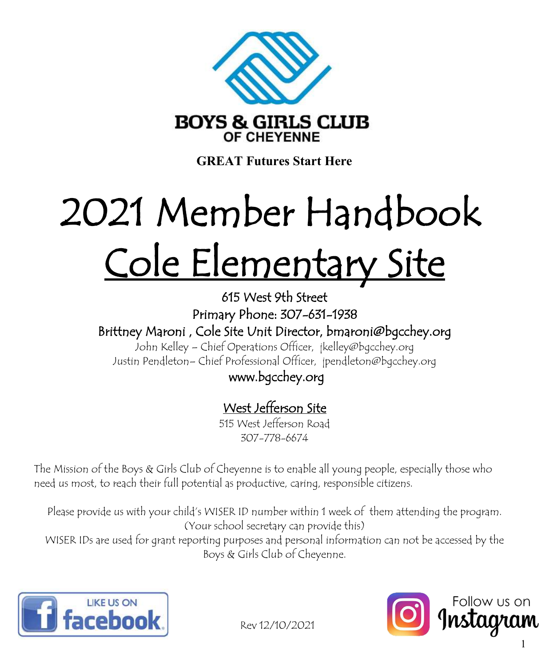

**GREAT Futures Start Here**

## Cole Elementary Site 2021 Member Handbook

615 West 9th Street Primary Phone: 307-631-1938 Brittney Maroni , Cole Site Unit Director, bmaroni@bgcchey.org

John Kelley – Chief Operations Officer, jkelley@bgcchey.org Justin Pendleton– Chief Professional Officer, jpendleton@bgcchey.org

### www.bgcchey.org

## West Jefferson Site

515 West Jefferson Road 307-778-6674

The Mission of the Boys & Girls Club of Cheyenne is to enable all young people, especially those who need us most, to reach their full potential as productive, caring, responsible citizens.

Please provide us with your child's WISER ID number within 1 week of them attending the program. (Your school secretary can provide this) WISER IDs are used for grant reporting purposes and personal information can not be accessed by the Boys & Girls Club of Cheyenne.





Rev 12/10/2021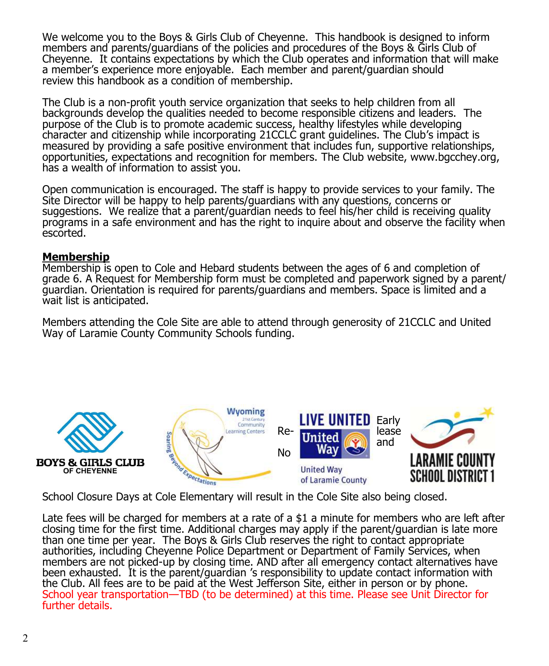We welcome you to the Boys & Girls Club of Cheyenne. This handbook is designed to inform members and parents/guardians of the policies and procedures of the Boys & Girls Club of Cheyenne. It contains expectations by which the Club operates and information that will make a member's experience more enjoyable. Each member and parent/guardian should review this handbook as a condition of membership.

The Club is a non-profit youth service organization that seeks to help children from all backgrounds develop the qualities needed to become responsible citizens and leaders. The purpose of the Club is to promote academic success, healthy lifestyles while developing character and citizenship while incorporating 21CCLC grant guidelines. The Club's impact is measured by providing a safe positive environment that includes fun, supportive relationships, opportunities, expectations and recognition for members. The Club website, www.bgcchey.org, has a wealth of information to assist you.

Open communication is encouraged. The staff is happy to provide services to your family. The Site Director will be happy to help parents/guardians with any questions, concerns or suggestions. We realize that a parent/guardian needs to feel his/her child is receiving quality programs in a safe environment and has the right to inquire about and observe the facility when escorted.

#### **Membership**

Membership is open to Cole and Hebard students between the ages of 6 and completion of grade 6. A Request for Membership form must be completed and paperwork signed by a parent/ guardian. Orientation is required for parents/guardians and members. Space is limited and a wait list is anticipated.

Members attending the Cole Site are able to attend through generosity of 21CCLC and United Way of Laramie County Community Schools funding.



School Closure Days at Cole Elementary will result in the Cole Site also being closed.

Late fees will be charged for members at a rate of a \$1 a minute for members who are left after closing time for the first time. Additional charges may apply if the parent/guardian is late more than one time per year. The Boys & Girls Club reserves the right to contact appropriate authorities, including Cheyenne Police Department or Department of Family Services, when members are not picked-up by closing time. AND after all emergency contact alternatives have been exhausted. It is the parent/guardian 's responsibility to update contact information with the Club. All fees are to be paid at the West Jefferson Site, either in person or by phone. School year transportation—TBD (to be determined) at this time. Please see Unit Director for further details.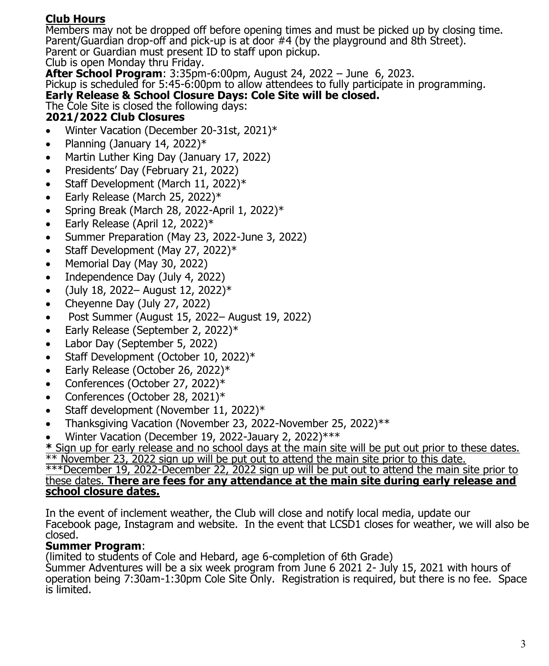#### **Club Hours**

Members may not be dropped off before opening times and must be picked up by closing time. Parent/Guardian drop-off and pick-up is at door #4 (by the playground and 8th Street). Parent or Guardian must present ID to staff upon pickup.

Club is open Monday thru Friday.

**After School Program**: 3:35pm-6:00pm, August 24, 2022 – June 6, 2023.

Pickup is scheduled for 5:45-6:00pm to allow attendees to fully participate in programming.

#### **Early Release & School Closure Days: Cole Site will be closed.**

The Cole Site is closed the following days: **2021/2022 Club Closures**

- Winter Vacation (December 20-31st, 2021)\*
- Planning (January 14, 2022) $*$
- Martin Luther King Day (January 17, 2022)
- Presidents' Day (February 21, 2022)
- Staff Development (March 11, 2022)\*
- Early Release (March 25, 2022)\*
- Spring Break (March 28, 2022-April 1, 2022) $*$
- Early Release (April 12, 2022) $*$
- Summer Preparation (May 23, 2022-June 3, 2022)
- Staff Development (May 27, 2022)\*
- Memorial Day (May 30, 2022)
- Independence Day (July 4, 2022)
- (July 18, 2022– August 12, 2022) $*$
- Cheyenne Day (July 27, 2022)
- Post Summer (August 15, 2022– August 19, 2022)
- Early Release (September 2, 2022)\*
- Labor Day (September 5, 2022)
- Staff Development (October 10, 2022)\*
- Early Release (October 26, 2022)\*
- Conferences (October 27, 2022)\*
- Conferences (October 28, 2021)\*
- Staff development (November 11, 2022)\*
- Thanksgiving Vacation (November 23, 2022-November 25, 2022)\*\*
- Winter Vacation (December 19, 2022-Jauary 2, 2022)\*\*\*

**\*** Sign up for early release and no school days at the main site will be put out prior to these dates. \*\* November 23, 2022 sign up will be put out to attend the main site prior to this date.

#### \*\*\*December 19, 2022-December 22, 2022 sign up will be put out to attend the main site prior to these dates. **There are fees for any attendance at the main site during early release and school closure dates.**

In the event of inclement weather, the Club will close and notify local media, update our Facebook page, Instagram and website. In the event that LCSD1 closes for weather, we will also be closed.

#### **Summer Program**:

(limited to students of Cole and Hebard, age 6-completion of 6th Grade)

Summer Adventures will be a six week program from June 6 2021 2- July 15, 2021 with hours of operation being 7:30am-1:30pm Cole Site Only. Registration is required, but there is no fee. Space is limited.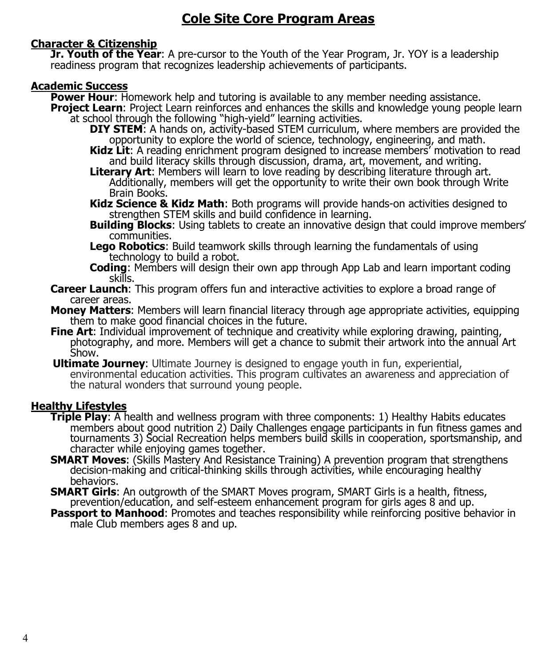#### **Character & Citizenship**

**Jr. Youth of the Year**: A pre-cursor to the Youth of the Year Program, Jr. YOY is a leadership readiness program that recognizes leadership achievements of participants.

#### **Academic Success**

**Power Hour**: Homework help and tutoring is available to any member needing assistance.

- **Project Learn**: Project Learn reinforces and enhances the skills and knowledge young people learn at school through the following "high-yield" learning activities.
	- **DIY STEM**: A hands on, activity-based STEM curriculum, where members are provided the opportunity to explore the world of science, technology, engineering, and math.
	- **Kidz Lit**: A reading enrichment program designed to increase members' motivation to read and build literacy skills through discussion, drama, art, movement, and writing.
	- **Literary Art**: Members will learn to love reading by describing literature through art. Additionally, members will get the opportunity to write their own book through Write Brain Books.

**Kidz Science & Kidz Math**: Both programs will provide hands-on activities designed to strengthen STEM skills and build confidence in learning.

- **Building Blocks**: Using tablets to create an innovative design that could improve members' communities.
- **Lego Robotics**: Build teamwork skills through learning the fundamentals of using technology to build a robot.
- **Coding**: Members will design their own app through App Lab and learn important coding skills.
- **Career Launch**: This program offers fun and interactive activities to explore a broad range of career areas.
- **Money Matters**: Members will learn financial literacy through age appropriate activities, equipping them to make good financial choices in the future.
- **Fine Art:** Individual improvement of technique and creativity while exploring drawing, painting, photography, and more. Members will get a chance to submit their artwork into the annual Art Show.
- **Ultimate Journey**: Ultimate Journey is designed to engage youth in fun, experiential, environmental education activities. This program cultivates an awareness and appreciation of the natural wonders that surround young people.

#### **Healthy Lifestyles**

- **Triple Play**: A health and wellness program with three components: 1) Healthy Habits educates members about good nutrition 2) Daily Challenges engage participants in fun fitness games and tournaments 3) Social Recreation helps members build skills in cooperation, sportsmanship, and character while enjoying games together.
- **SMART Moves**: (Skills Mastery And Resistance Training) A prevention program that strengthens decision-making and critical-thinking skills through activities, while encouraging healthy behaviors.
- **SMART Girls**: An outgrowth of the SMART Moves program, SMART Girls is a health, fitness, prevention/education, and self-esteem enhancement program for girls ages 8 and up.
- **Passport to Manhood:** Promotes and teaches responsibility while reinforcing positive behavior in male Club members ages 8 and up.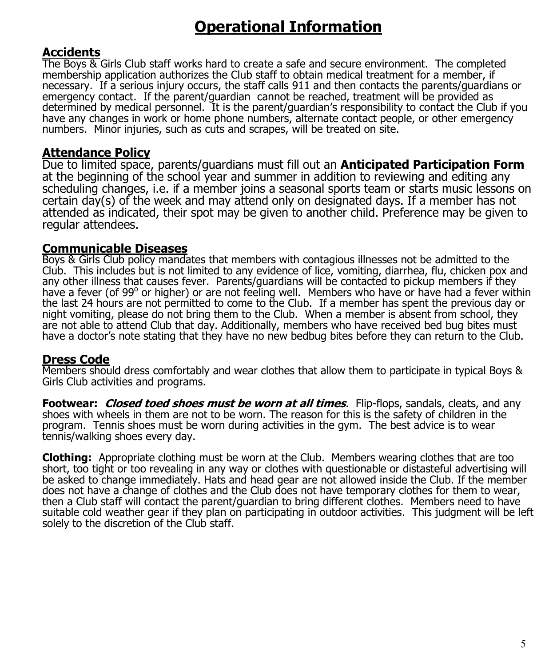## **Operational Information**

#### **Accidents**

The Boys & Girls Club staff works hard to create a safe and secure environment. The completed membership application authorizes the Club staff to obtain medical treatment for a member, if necessary. If a serious injury occurs, the staff calls 911 and then contacts the parents/guardians or emergency contact. If the parent/guardian cannot be reached, treatment will be provided as determined by medical personnel. It is the parent/guardian's responsibility to contact the Club if you have any changes in work or home phone numbers, alternate contact people, or other emergency numbers. Minor injuries, such as cuts and scrapes, will be treated on site.

#### **Attendance Policy**

Due to limited space, parents/guardians must fill out an **Anticipated Participation Form** at the beginning of the school year and summer in addition to reviewing and editing any scheduling changes, i.e. if a member joins a seasonal sports team or starts music lessons on certain day(s) of the week and may attend only on designated days. If a member has not attended as indicated, their spot may be given to another child. Preference may be given to regular attendees.

#### **Communicable Diseases**

Boys & Girls Club policy mandates that members with contagious illnesses not be admitted to the Club. This includes but is not limited to any evidence of lice, vomiting, diarrhea, flu, chicken pox and any other illness that causes fever. Parents/guardians will be contacted to pickup members if they have a fever (of 99° or higher) or are not feeling well. Members who have or have had a fever within the last 24 hours are not permitted to come to the Club. If a member has spent the previous day or night vomiting, please do not bring them to the Club. When a member is absent from school, they are not able to attend Club that day. Additionally, members who have received bed bug bites must have a doctor's note stating that they have no new bedbug bites before they can return to the Club.

#### **Dress Code**

Members should dress comfortably and wear clothes that allow them to participate in typical Boys & Girls Club activities and programs.

**Footwear: Closed toed shoes must be worn at all times**. Flip-flops, sandals, cleats, and any shoes with wheels in them are not to be worn. The reason for this is the safety of children in the program. Tennis shoes must be worn during activities in the gym. The best advice is to wear tennis/walking shoes every day.

**Clothing:** Appropriate clothing must be worn at the Club. Members wearing clothes that are too short, too tight or too revealing in any way or clothes with questionable or distasteful advertising will be asked to change immediately. Hats and head gear are not allowed inside the Club. If the member does not have a change of clothes and the Club does not have temporary clothes for them to wear, then a Club staff will contact the parent/guardian to bring different clothes. Members need to have suitable cold weather gear if they plan on participating in outdoor activities. This judgment will be left solely to the discretion of the Club staff.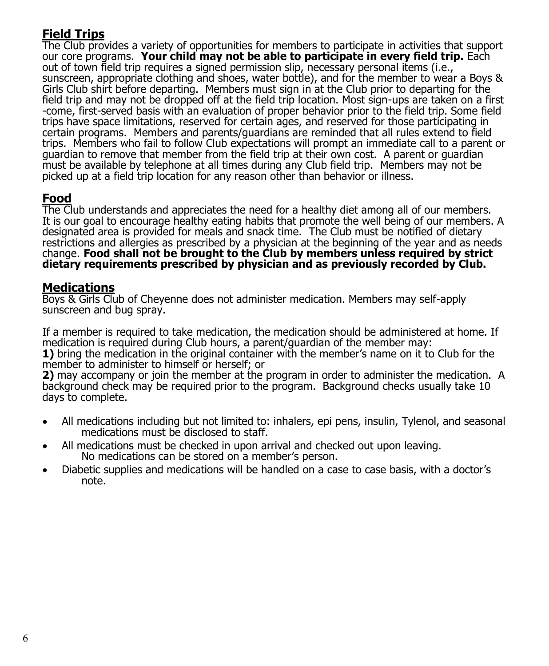#### **Field Trips**

The Club provides a variety of opportunities for members to participate in activities that support our core programs. **Your child may not be able to participate in every field trip.** Each out of town field trip requires a signed permission slip, necessary personal items (i.e., sunscreen, appropriate clothing and shoes, water bottle), and for the member to wear a Boys & Girls Club shirt before departing. Members must sign in at the Club prior to departing for the field trip and may not be dropped off at the field trip location. Most sign-ups are taken on a first -come, first-served basis with an evaluation of proper behavior prior to the field trip. Some field trips have space limitations, reserved for certain ages, and reserved for those participating in certain programs. Members and parents/guardians are reminded that all rules extend to field trips. Members who fail to follow Club expectations will prompt an immediate call to a parent or guardian to remove that member from the field trip at their own cost. A parent or guardian must be available by telephone at all times during any Club field trip. Members may not be picked up at a field trip location for any reason other than behavior or illness.

#### **Food**

The Club understands and appreciates the need for a healthy diet among all of our members. It is our goal to encourage healthy eating habits that promote the well being of our members. A designated area is provided for meals and snack time. The Club must be notified of dietary restrictions and allergies as prescribed by a physician at the beginning of the year and as needs change. **Food shall not be brought to the Club by members unless required by strict dietary requirements prescribed by physician and as previously recorded by Club.**

#### **Medications**

Boys & Girls Club of Cheyenne does not administer medication. Members may self-apply sunscreen and bug spray.

If a member is required to take medication, the medication should be administered at home. If medication is required during Club hours, a parent/guardian of the member may: **1)** bring the medication in the original container with the member's name on it to Club for the member to administer to himself or herself; or

**2)** may accompany or join the member at the program in order to administer the medication. A background check may be required prior to the program. Background checks usually take 10 days to complete.

- All medications including but not limited to: inhalers, epi pens, insulin, Tylenol, and seasonal medications must be disclosed to staff.
- All medications must be checked in upon arrival and checked out upon leaving. No medications can be stored on a member's person.
- Diabetic supplies and medications will be handled on a case to case basis, with a doctor's note.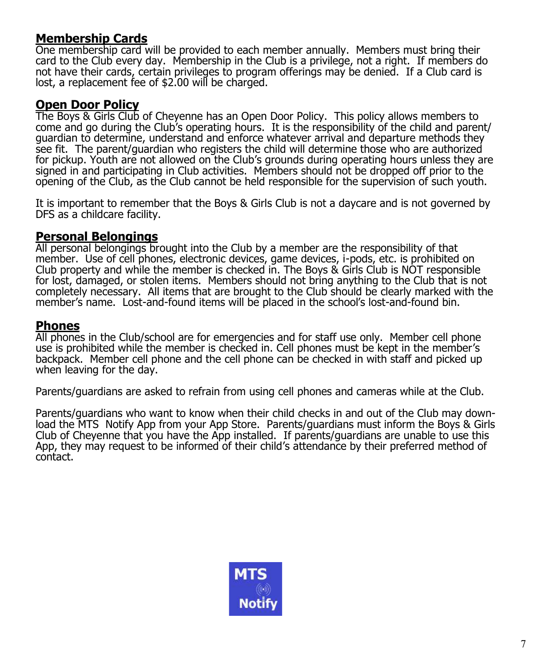#### **Membership Cards**

One membership card will be provided to each member annually. Members must bring their card to the Club every day. Membership in the Club is a privilege, not a right. If members do not have their cards, certain privileges to program offerings may be denied. If a Club card is lost, a replacement fee of \$2.00 will be charged.

#### **Open Door Policy**

The Boys & Girls Club of Cheyenne has an Open Door Policy. This policy allows members to come and go during the Club's operating hours. It is the responsibility of the child and parent/ guardian to determine, understand and enforce whatever arrival and departure methods they see fit. The parent/guardian who registers the child will determine those who are authorized for pickup. Youth are not allowed on the Club's grounds during operating hours unless they are signed in and participating in Club activities. Members should not be dropped off prior to the opening of the Club, as the Club cannot be held responsible for the supervision of such youth.

It is important to remember that the Boys & Girls Club is not a daycare and is not governed by DFS as a childcare facility.

#### **Personal Belongings**

All personal belongings brought into the Club by a member are the responsibility of that member. Use of cell phones, electronic devices, game devices, i-pods, etc. is prohibited on Club property and while the member is checked in. The Boys & Girls Club is NOT responsible for lost, damaged, or stolen items. Members should not bring anything to the Club that is not completely necessary. All items that are brought to the Club should be clearly marked with the member's name. Lost-and-found items will be placed in the school's lost-and-found bin.

#### **Phones**

All phones in the Club/school are for emergencies and for staff use only. Member cell phone use is prohibited while the member is checked in. Cell phones must be kept in the member's backpack. Member cell phone and the cell phone can be checked in with staff and picked up when leaving for the day.

Parents/guardians are asked to refrain from using cell phones and cameras while at the Club.

Parents/guardians who want to know when their child checks in and out of the Club may download the MTS Notify App from your App Store. Parents/guardians must inform the Boys & Girls Club of Cheyenne that you have the App installed. If parents/guardians are unable to use this App, they may request to be informed of their child's attendance by their preferred method of contact.

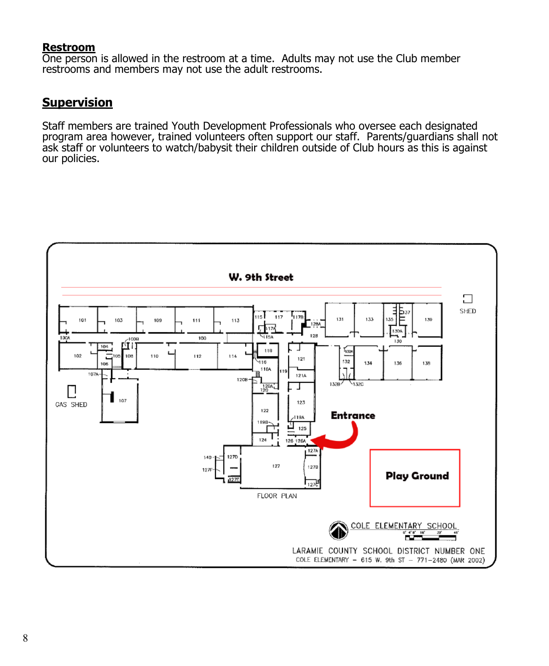#### **Restroom**

One person is allowed in the restroom at a time. Adults may not use the Club member restrooms and members may not use the adult restrooms.

#### **Supervision**

Staff members are trained Youth Development Professionals who oversee each designated program area however, trained volunteers often support our staff. Parents/guardians shall not ask staff or volunteers to watch/babysit their children outside of Club hours as this is against our policies.

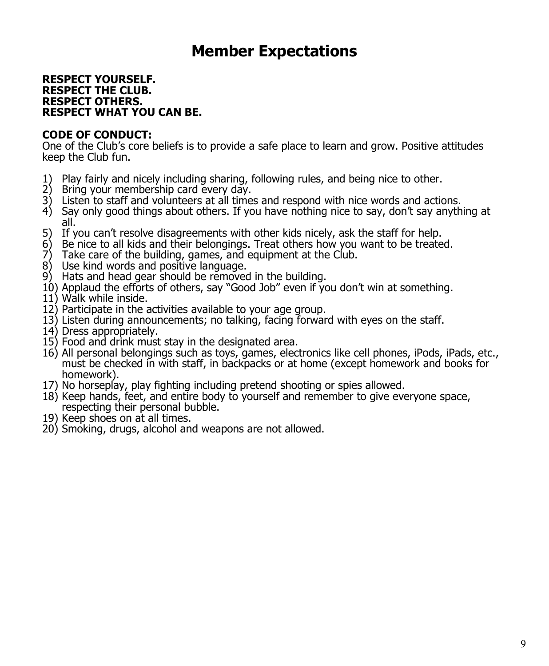### **Member Expectations**

#### **RESPECT YOURSELF. RESPECT THE CLUB. RESPECT OTHERS. RESPECT WHAT YOU CAN BE.**

#### **CODE OF CONDUCT:**

One of the Club's core beliefs is to provide a safe place to learn and grow. Positive attitudes keep the Club fun.

- 1) Play fairly and nicely including sharing, following rules, and being nice to other.
- 2) Bring your membership card every day.
- 3) Listen to staff and volunteers at all times and respond with nice words and actions.
- 4) Say only good things about others. If you have nothing nice to say, don't say anything at all.
- 5) If you can't resolve disagreements with other kids nicely, ask the staff for help.
- 6) Be nice to all kids and their belongings. Treat others how you want to be treated.<br>
7) Take care of the building, games, and equipment at the Club.
- Take care of the building, games, and equipment at the Club.
- 8) Use kind words and positive language.
- 9) Hats and head gear should be removed in the building.
- 10) Applaud the efforts of others, say "Good Job" even if you don't win at something.
- 11) Walk while inside.
- 12) Participate in the activities available to your age group.
- 13) Listen during announcements; no talking, facing forward with eyes on the staff.
- 14) Dress appropriately.
- 15) Food and drink must stay in the designated area.
- 16) All personal belongings such as toys, games, electronics like cell phones, iPods, iPads, etc., must be checked in with staff, in backpacks or at home (except homework and books for homework).
- 17) No horseplay, play fighting including pretend shooting or spies allowed.
- 18) Keep hands, feet, and entire body to yourself and remember to give everyone space, respecting their personal bubble.
- 19) Keep shoes on at all times.
- 20) Smoking, drugs, alcohol and weapons are not allowed.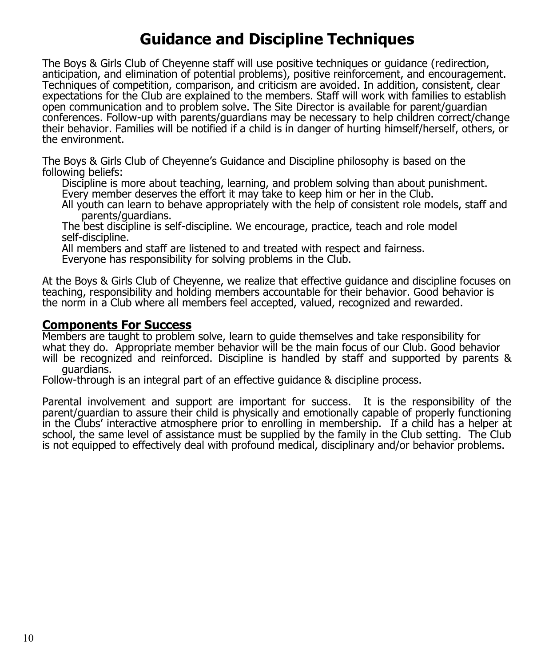## **Guidance and Discipline Techniques**

The Boys & Girls Club of Cheyenne staff will use positive techniques or guidance (redirection, anticipation, and elimination of potential problems), positive reinforcement, and encouragement. Techniques of competition, comparison, and criticism are avoided. In addition, consistent, clear expectations for the Club are explained to the members. Staff will work with families to establish open communication and to problem solve. The Site Director is available for parent/guardian conferences. Follow-up with parents/guardians may be necessary to help children correct/change their behavior. Families will be notified if a child is in danger of hurting himself/herself, others, or the environment.

The Boys & Girls Club of Cheyenne's Guidance and Discipline philosophy is based on the following beliefs:

Discipline is more about teaching, learning, and problem solving than about punishment. Every member deserves the effort it may take to keep him or her in the Club.

All youth can learn to behave appropriately with the help of consistent role models, staff and parents/guardians.

The best discipline is self-discipline. We encourage, practice, teach and role model self-discipline.

All members and staff are listened to and treated with respect and fairness.

Everyone has responsibility for solving problems in the Club.

At the Boys & Girls Club of Cheyenne, we realize that effective guidance and discipline focuses on teaching, responsibility and holding members accountable for their behavior. Good behavior is the norm in a Club where all members feel accepted, valued, recognized and rewarded.

#### **Components For Success**

Members are taught to problem solve, learn to guide themselves and take responsibility for what they do. Appropriate member behavior will be the main focus of our Club. Good behavior will be recognized and reinforced. Discipline is handled by staff and supported by parents & guardians.

Follow-through is an integral part of an effective guidance & discipline process.

Parental involvement and support are important for success. It is the responsibility of the parent/guardian to assure their child is physically and emotionally capable of properly functioning in the Clubs' interactive atmosphere prior to enrolling in membership. If a child has a helper at school, the same level of assistance must be supplied by the family in the Club setting. The Club is not equipped to effectively deal with profound medical, disciplinary and/or behavior problems.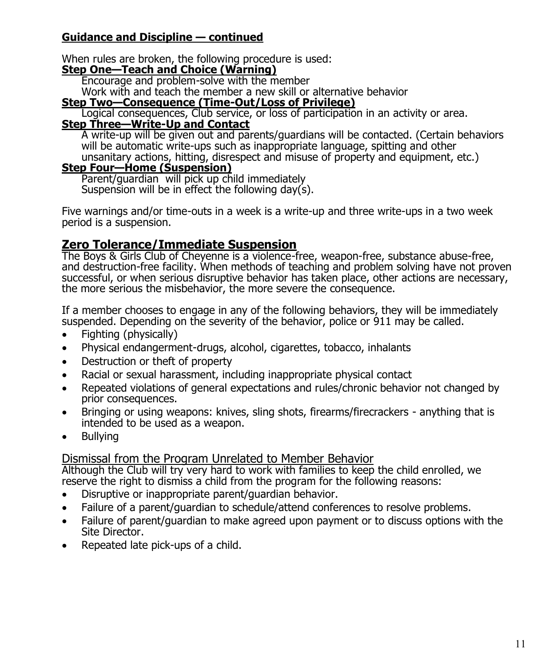#### **Guidance and Discipline — continued**

When rules are broken, the following procedure is used:

#### **Step One—Teach and Choice (Warning)**

Encourage and problem-solve with the member

Work with and teach the member a new skill or alternative behavior

#### **Step Two—Consequence (Time-Out/Loss of Privilege)**

Logical consequences, Club service, or loss of participation in an activity or area.

#### **Step Three—Write-Up and Contact**

A write-up will be given out and parents/guardians will be contacted. (Certain behaviors will be automatic write-ups such as inappropriate language, spitting and other unsanitary actions, hitting, disrespect and misuse of property and equipment, etc.)

#### **Step Four—Home (Suspension)**

Parent/guardian will pick up child immediately Suspension will be in effect the following day(s).

Five warnings and/or time-outs in a week is a write-up and three write-ups in a two week period is a suspension.

#### **Zero Tolerance/Immediate Suspension**

The Boys & Girls Club of Cheyenne is a violence-free, weapon-free, substance abuse-free, and destruction-free facility. When methods of teaching and problem solving have not proven successful, or when serious disruptive behavior has taken place, other actions are necessary, the more serious the misbehavior, the more severe the consequence.

If a member chooses to engage in any of the following behaviors, they will be immediately suspended. Depending on the severity of the behavior, police or 911 may be called.

- Fighting (physically)
- Physical endangerment-drugs, alcohol, cigarettes, tobacco, inhalants
- Destruction or theft of property
- Racial or sexual harassment, including inappropriate physical contact
- Repeated violations of general expectations and rules/chronic behavior not changed by prior consequences.
- Bringing or using weapons: knives, sling shots, firearms/firecrackers anything that is intended to be used as a weapon.
- Bullying

#### Dismissal from the Program Unrelated to Member Behavior

Although the Club will try very hard to work with families to keep the child enrolled, we reserve the right to dismiss a child from the program for the following reasons:

- Disruptive or inappropriate parent/guardian behavior.
- Failure of a parent/guardian to schedule/attend conferences to resolve problems.
- Failure of parent/guardian to make agreed upon payment or to discuss options with the Site Director.
- Repeated late pick-ups of a child.